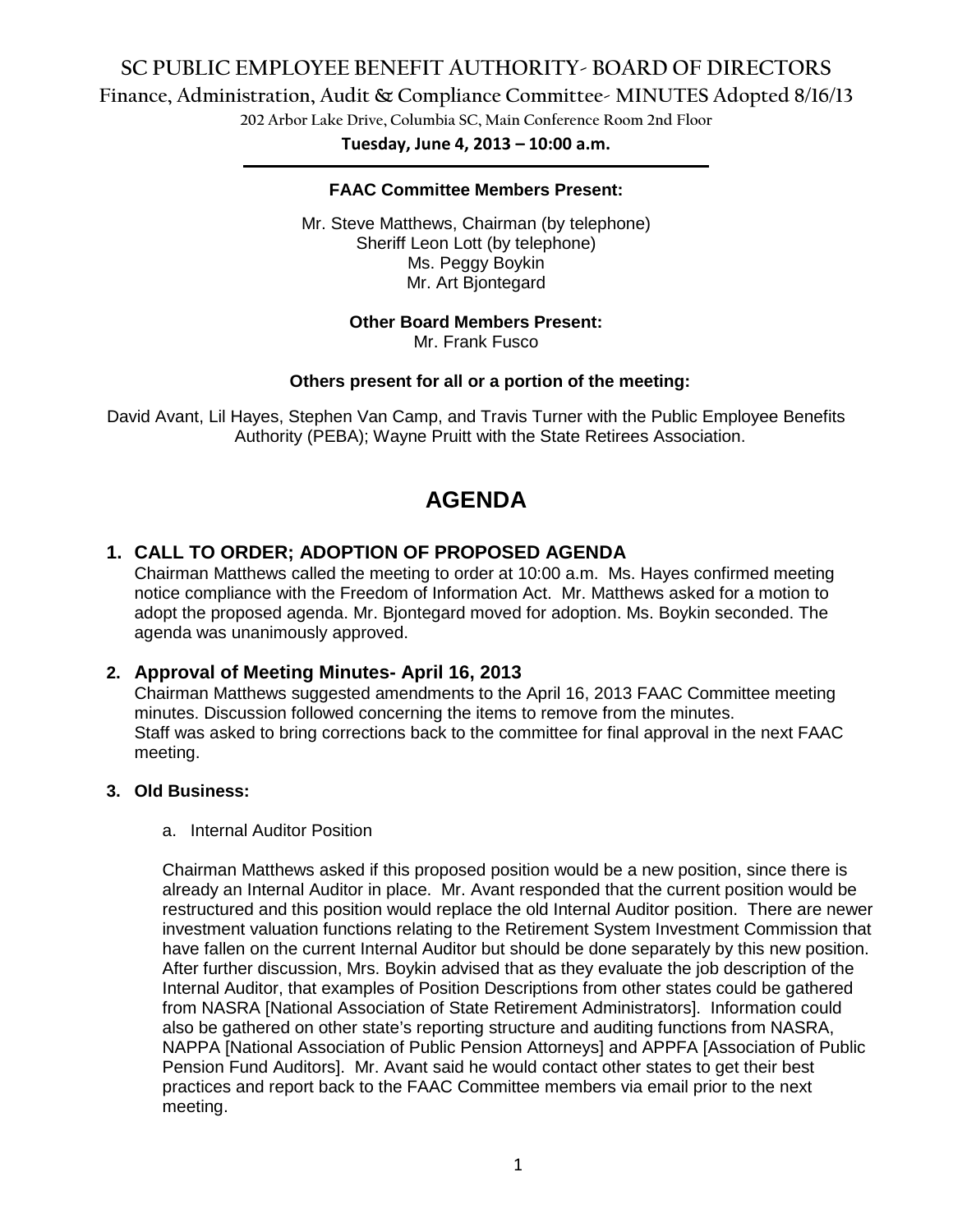# **SC PUBLIC EMPLOYEE BENEFIT AUTHORITY- BOARD OF DIRECTORS**

**Finance, Administration, Audit & Compliance Committee- MINUTES Adopted 8/16/13**

**202 Arbor Lake Drive, Columbia SC, Main Conference Room 2nd Floor**

**Tuesday, June 4, 2013 – 10:00 a.m. \_\_\_\_\_\_\_\_\_\_\_\_\_\_\_\_\_\_\_\_\_\_\_\_\_\_\_\_\_\_\_\_\_\_\_\_\_\_\_\_\_\_\_\_\_\_\_\_\_\_\_\_\_\_\_\_\_\_\_\_\_\_\_\_\_\_\_\_\_\_\_\_\_\_\_\_\_\_\_\_\_\_\_\_\_\_\_\_\_\_\_\_\_\_\_\_\_\_\_\_\_\_\_\_\_\_\_\_\_\_\_\_\_\_\_\_\_\_\_\_**

### **FAAC Committee Members Present:**

Mr. Steve Matthews, Chairman (by telephone) Sheriff Leon Lott (by telephone) Ms. Peggy Boykin Mr. Art Bjontegard

#### **Other Board Members Present:**

Mr. Frank Fusco

#### **Others present for all or a portion of the meeting:**

David Avant, Lil Hayes, Stephen Van Camp, and Travis Turner with the Public Employee Benefits Authority (PEBA); Wayne Pruitt with the State Retirees Association.

# **AGENDA**

# **1. CALL TO ORDER; ADOPTION OF PROPOSED AGENDA**

Chairman Matthews called the meeting to order at 10:00 a.m. Ms. Hayes confirmed meeting notice compliance with the Freedom of Information Act. Mr. Matthews asked for a motion to adopt the proposed agenda. Mr. Bjontegard moved for adoption. Ms. Boykin seconded. The agenda was unanimously approved.

## **2. Approval of Meeting Minutes- April 16, 2013**

Chairman Matthews suggested amendments to the April 16, 2013 FAAC Committee meeting minutes. Discussion followed concerning the items to remove from the minutes. Staff was asked to bring corrections back to the committee for final approval in the next FAAC meeting.

#### **3. Old Business:**

#### a. Internal Auditor Position

Chairman Matthews asked if this proposed position would be a new position, since there is already an Internal Auditor in place. Mr. Avant responded that the current position would be restructured and this position would replace the old Internal Auditor position. There are newer investment valuation functions relating to the Retirement System Investment Commission that have fallen on the current Internal Auditor but should be done separately by this new position. After further discussion, Mrs. Boykin advised that as they evaluate the job description of the Internal Auditor, that examples of Position Descriptions from other states could be gathered from NASRA [National Association of State Retirement Administrators]. Information could also be gathered on other state's reporting structure and auditing functions from NASRA, NAPPA [National Association of Public Pension Attorneys] and APPFA [Association of Public Pension Fund Auditors]. Mr. Avant said he would contact other states to get their best practices and report back to the FAAC Committee members via email prior to the next meeting.